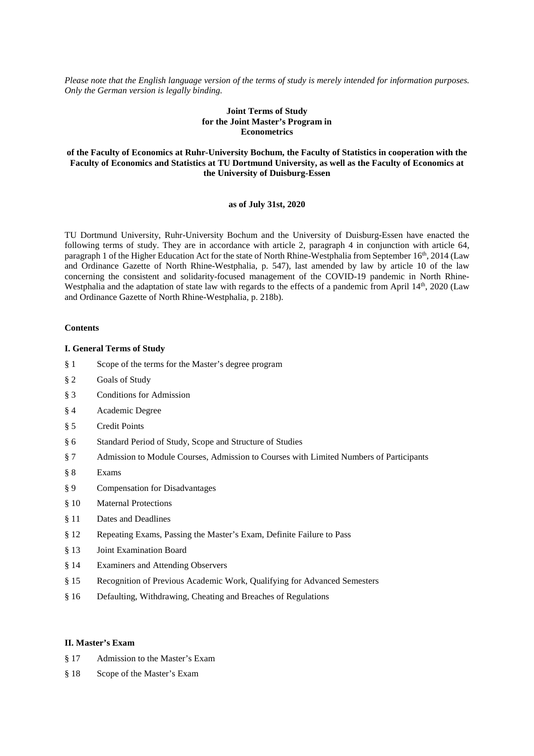*Please note that the English language version of the terms of study is merely intended for information purposes. Only the German version is legally binding.* 

# **Joint Terms of Study for the Joint Master's Program in Econometrics**

# **of the Faculty of Economics at Ruhr-University Bochum, the Faculty of Statistics in cooperation with the Faculty of Economics and Statistics at TU Dortmund University, as well as the Faculty of Economics at the University of Duisburg-Essen**

# **as of July 31st, 2020**

TU Dortmund University, Ruhr-University Bochum and the University of Duisburg-Essen have enacted the following terms of study. They are in accordance with article 2, paragraph 4 in conjunction with article 64, paragraph 1 of the Higher Education Act for the state of North Rhine-Westphalia from September 16<sup>th</sup>, 2014 (Law and Ordinance Gazette of North Rhine-Westphalia, p. 547), last amended by law by article 10 of the law concerning the consistent and solidarity-focused management of the COVID-19 pandemic in North Rhine-Westphalia and the adaptation of state law with regards to the effects of a pandemic from April 14<sup>th</sup>, 2020 (Law and Ordinance Gazette of North Rhine-Westphalia, p. 218b).

### **Contents**

# **I. General Terms of Study**

- § 1 Scope of the terms for the Master's degree program
- § 2 Goals of Study
- § 3 Conditions for Admission
- § 4 Academic Degree
- § 5 Credit Points
- § 6 Standard Period of Study, Scope and Structure of Studies
- § 7 Admission to Module Courses, Admission to Courses with Limited Numbers of Participants
- § 8 Exams
- § 9 Compensation for Disadvantages
- § 10 Maternal Protections
- § 11 Dates and Deadlines
- § 12 Repeating Exams, Passing the Master's Exam, Definite Failure to Pass
- § 13 Joint Examination Board
- § 14 Examiners and Attending Observers
- § 15 Recognition of Previous Academic Work, Qualifying for Advanced Semesters
- § 16 Defaulting, Withdrawing, Cheating and Breaches of Regulations

## **II. Master's Exam**

- § 17 Admission to the Master's Exam
- § 18 Scope of the Master's Exam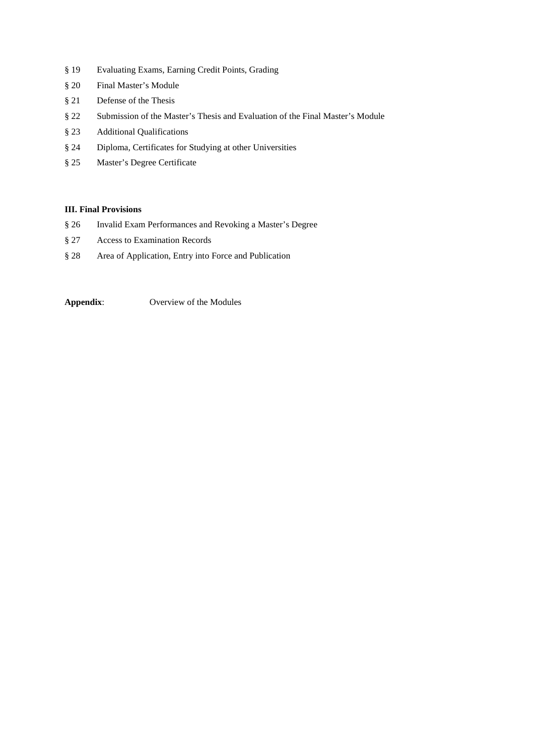- § 19 Evaluating Exams, Earning Credit Points, Grading
- § 20 Final Master's Module
- § 21 Defense of the Thesis
- § 22 Submission of the Master's Thesis and Evaluation of the Final Master's Module
- § 23 Additional Qualifications
- § 24 Diploma, Certificates for Studying at other Universities
- § 25 Master's Degree Certificate

## **III. Final Provisions**

- § 26 Invalid Exam Performances and Revoking a Master's Degree
- § 27 Access to Examination Records
- § 28 Area of Application, Entry into Force and Publication

**Appendix**: Overview of the Modules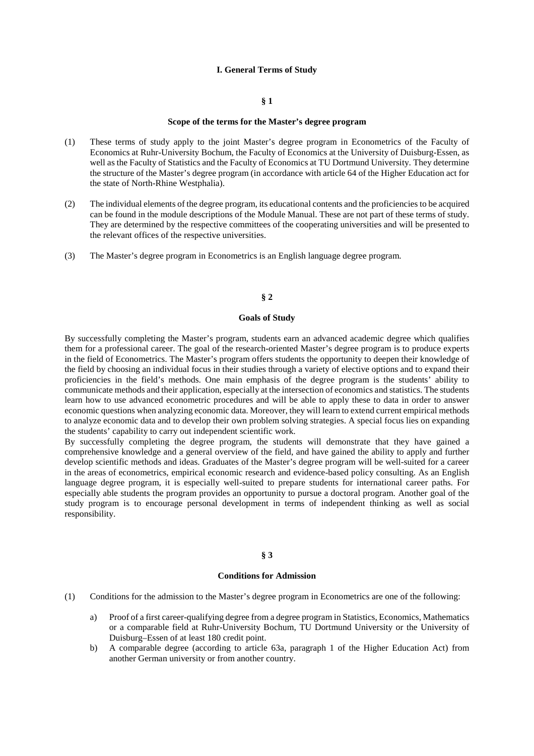#### **I. General Terms of Study**

## **§ 1**

#### **Scope of the terms for the Master's degree program**

- (1) These terms of study apply to the joint Master's degree program in Econometrics of the Faculty of Economics at Ruhr-University Bochum, the Faculty of Economics at the University of Duisburg-Essen, as well as the Faculty of Statistics and the Faculty of Economics at TU Dortmund University. They determine the structure of the Master's degree program (in accordance with article 64 of the Higher Education act for the state of North-Rhine Westphalia).
- (2) The individual elements of the degree program, its educational contents and the proficiencies to be acquired can be found in the module descriptions of the Module Manual. These are not part of these terms of study. They are determined by the respective committees of the cooperating universities and will be presented to the relevant offices of the respective universities.
- (3) The Master's degree program in Econometrics is an English language degree program.

### **§ 2**

## **Goals of Study**

By successfully completing the Master's program, students earn an advanced academic degree which qualifies them for a professional career. The goal of the research-oriented Master's degree program is to produce experts in the field of Econometrics. The Master's program offers students the opportunity to deepen their knowledge of the field by choosing an individual focus in their studies through a variety of elective options and to expand their proficiencies in the field's methods. One main emphasis of the degree program is the students' ability to communicate methods and their application, especially at the intersection of economics and statistics. The students learn how to use advanced econometric procedures and will be able to apply these to data in order to answer economic questions when analyzing economic data. Moreover, they will learn to extend current empirical methods to analyze economic data and to develop their own problem solving strategies. A special focus lies on expanding the students' capability to carry out independent scientific work.

By successfully completing the degree program, the students will demonstrate that they have gained a comprehensive knowledge and a general overview of the field, and have gained the ability to apply and further develop scientific methods and ideas. Graduates of the Master's degree program will be well-suited for a career in the areas of econometrics, empirical economic research and evidence-based policy consulting. As an English language degree program, it is especially well-suited to prepare students for international career paths. For especially able students the program provides an opportunity to pursue a doctoral program. Another goal of the study program is to encourage personal development in terms of independent thinking as well as social responsibility.

# **§ 3**

## **Conditions for Admission**

- (1) Conditions for the admission to the Master's degree program in Econometrics are one of the following:
	- a) Proof of a first career-qualifying degree from a degree program in Statistics, Economics, Mathematics or a comparable field at Ruhr-University Bochum, TU Dortmund University or the University of Duisburg–Essen of at least 180 credit point.
	- b) A comparable degree (according to article 63a, paragraph 1 of the Higher Education Act) from another German university or from another country.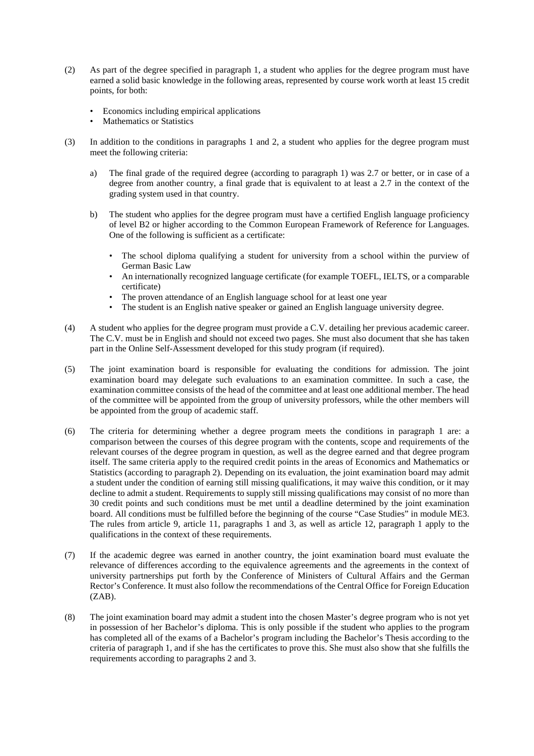- (2) As part of the degree specified in paragraph 1, a student who applies for the degree program must have earned a solid basic knowledge in the following areas, represented by course work worth at least 15 credit points, for both:
	- Economics including empirical applications
	- Mathematics or Statistics
- (3) In addition to the conditions in paragraphs 1 and 2, a student who applies for the degree program must meet the following criteria:
	- a) The final grade of the required degree (according to paragraph 1) was 2.7 or better, or in case of a degree from another country, a final grade that is equivalent to at least a 2.7 in the context of the grading system used in that country.
	- b) The student who applies for the degree program must have a certified English language proficiency of level B2 or higher according to the Common European Framework of Reference for Languages. One of the following is sufficient as a certificate:
		- The school diploma qualifying a student for university from a school within the purview of German Basic Law
		- An internationally recognized language certificate (for example TOEFL, IELTS, or a comparable certificate)
		- The proven attendance of an English language school for at least one year
		- The student is an English native speaker or gained an English language university degree.
- (4) A student who applies for the degree program must provide a C.V. detailing her previous academic career. The C.V. must be in English and should not exceed two pages. She must also document that she has taken part in the Online Self-Assessment developed for this study program (if required).
- (5) The joint examination board is responsible for evaluating the conditions for admission. The joint examination board may delegate such evaluations to an examination committee. In such a case, the examination committee consists of the head of the committee and at least one additional member. The head of the committee will be appointed from the group of university professors, while the other members will be appointed from the group of academic staff.
- (6) The criteria for determining whether a degree program meets the conditions in paragraph 1 are: a comparison between the courses of this degree program with the contents, scope and requirements of the relevant courses of the degree program in question, as well as the degree earned and that degree program itself. The same criteria apply to the required credit points in the areas of Economics and Mathematics or Statistics (according to paragraph 2). Depending on its evaluation, the joint examination board may admit a student under the condition of earning still missing qualifications, it may waive this condition, or it may decline to admit a student. Requirements to supply still missing qualifications may consist of no more than 30 credit points and such conditions must be met until a deadline determined by the joint examination board. All conditions must be fulfilled before the beginning of the course "Case Studies" in module ME3. The rules from article 9, article 11, paragraphs 1 and 3, as well as article 12, paragraph 1 apply to the qualifications in the context of these requirements.
- (7) If the academic degree was earned in another country, the joint examination board must evaluate the relevance of differences according to the equivalence agreements and the agreements in the context of university partnerships put forth by the Conference of Ministers of Cultural Affairs and the German Rector's Conference. It must also follow the recommendations of the Central Office for Foreign Education  $(ZAB)$ .
- (8) The joint examination board may admit a student into the chosen Master's degree program who is not yet in possession of her Bachelor's diploma. This is only possible if the student who applies to the program has completed all of the exams of a Bachelor's program including the Bachelor's Thesis according to the criteria of paragraph 1, and if she has the certificates to prove this. She must also show that she fulfills the requirements according to paragraphs 2 and 3.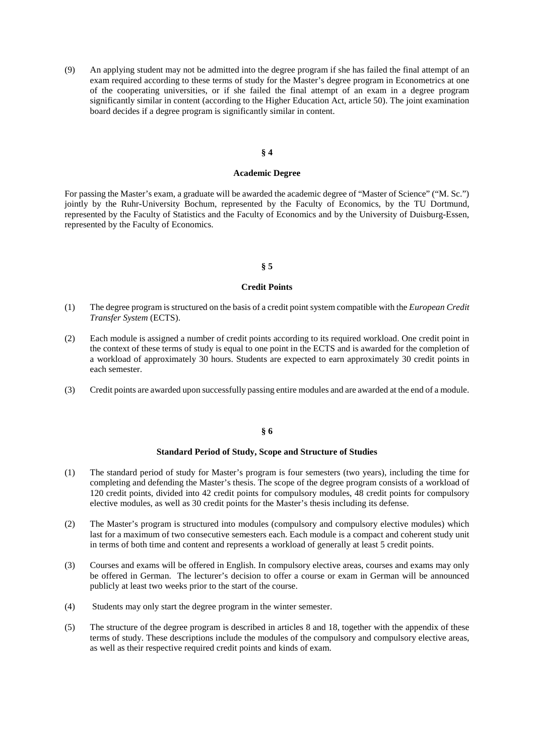(9) An applying student may not be admitted into the degree program if she has failed the final attempt of an exam required according to these terms of study for the Master's degree program in Econometrics at one of the cooperating universities, or if she failed the final attempt of an exam in a degree program significantly similar in content (according to the Higher Education Act, article 50). The joint examination board decides if a degree program is significantly similar in content.

## **§ 4**

## **Academic Degree**

For passing the Master's exam, a graduate will be awarded the academic degree of "Master of Science" ("M. Sc.") jointly by the Ruhr-University Bochum, represented by the Faculty of Economics, by the TU Dortmund, represented by the Faculty of Statistics and the Faculty of Economics and by the University of Duisburg-Essen, represented by the Faculty of Economics.

#### **§ 5**

#### **Credit Points**

- (1) The degree program is structured on the basis of a credit point system compatible with the *European Credit Transfer System* (ECTS).
- (2) Each module is assigned a number of credit points according to its required workload. One credit point in the context of these terms of study is equal to one point in the ECTS and is awarded for the completion of a workload of approximately 30 hours. Students are expected to earn approximately 30 credit points in each semester.
- (3) Credit points are awarded upon successfully passing entire modules and are awarded at the end of a module.

# **§ 6**

### **Standard Period of Study, Scope and Structure of Studies**

- (1) The standard period of study for Master's program is four semesters (two years), including the time for completing and defending the Master's thesis. The scope of the degree program consists of a workload of 120 credit points, divided into 42 credit points for compulsory modules, 48 credit points for compulsory elective modules, as well as 30 credit points for the Master's thesis including its defense.
- (2) The Master's program is structured into modules (compulsory and compulsory elective modules) which last for a maximum of two consecutive semesters each. Each module is a compact and coherent study unit in terms of both time and content and represents a workload of generally at least 5 credit points.
- (3) Courses and exams will be offered in English. In compulsory elective areas, courses and exams may only be offered in German. The lecturer's decision to offer a course or exam in German will be announced publicly at least two weeks prior to the start of the course.
- (4) Students may only start the degree program in the winter semester.
- (5) The structure of the degree program is described in articles 8 and 18, together with the appendix of these terms of study. These descriptions include the modules of the compulsory and compulsory elective areas, as well as their respective required credit points and kinds of exam.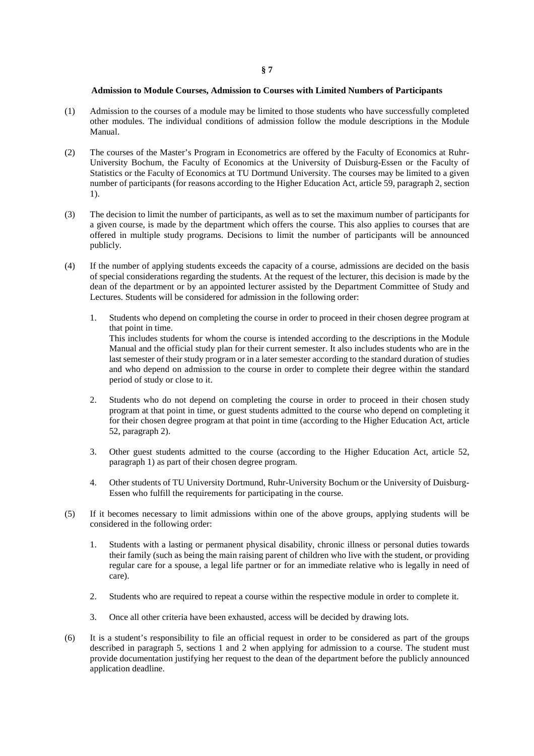#### **Admission to Module Courses, Admission to Courses with Limited Numbers of Participants**

- (1) Admission to the courses of a module may be limited to those students who have successfully completed other modules. The individual conditions of admission follow the module descriptions in the Module Manual.
- (2) The courses of the Master's Program in Econometrics are offered by the Faculty of Economics at Ruhr-University Bochum, the Faculty of Economics at the University of Duisburg-Essen or the Faculty of Statistics or the Faculty of Economics at TU Dortmund University. The courses may be limited to a given number of participants (for reasons according to the Higher Education Act, article 59, paragraph 2, section 1).
- (3) The decision to limit the number of participants, as well as to set the maximum number of participants for a given course, is made by the department which offers the course. This also applies to courses that are offered in multiple study programs. Decisions to limit the number of participants will be announced publicly.
- (4) If the number of applying students exceeds the capacity of a course, admissions are decided on the basis of special considerations regarding the students. At the request of the lecturer, this decision is made by the dean of the department or by an appointed lecturer assisted by the Department Committee of Study and Lectures. Students will be considered for admission in the following order:
	- 1. Students who depend on completing the course in order to proceed in their chosen degree program at that point in time. This includes students for whom the course is intended according to the descriptions in the Module Manual and the official study plan for their current semester. It also includes students who are in the last semester of their study program or in a later semester according to the standard duration of studies and who depend on admission to the course in order to complete their degree within the standard period of study or close to it.
	- 2. Students who do not depend on completing the course in order to proceed in their chosen study program at that point in time, or guest students admitted to the course who depend on completing it for their chosen degree program at that point in time (according to the Higher Education Act, article 52, paragraph 2).
	- 3. Other guest students admitted to the course (according to the Higher Education Act, article 52, paragraph 1) as part of their chosen degree program.
	- 4. Other students of TU University Dortmund, Ruhr-University Bochum or the University of Duisburg-Essen who fulfill the requirements for participating in the course.
- (5) If it becomes necessary to limit admissions within one of the above groups, applying students will be considered in the following order:
	- 1. Students with a lasting or permanent physical disability, chronic illness or personal duties towards their family (such as being the main raising parent of children who live with the student, or providing regular care for a spouse, a legal life partner or for an immediate relative who is legally in need of care).
	- 2. Students who are required to repeat a course within the respective module in order to complete it.
	- 3. Once all other criteria have been exhausted, access will be decided by drawing lots.
- (6) It is a student's responsibility to file an official request in order to be considered as part of the groups described in paragraph 5, sections 1 and 2 when applying for admission to a course. The student must provide documentation justifying her request to the dean of the department before the publicly announced application deadline.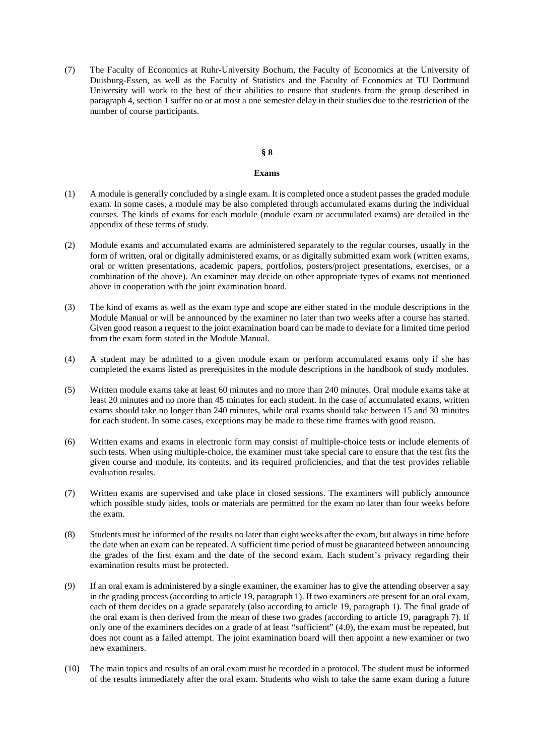(7) The Faculty of Economics at Ruhr-University Bochum, the Faculty of Economics at the University of Duisburg-Essen, as well as the Faculty of Statistics and the Faculty of Economics at TU Dortmund University will work to the best of their abilities to ensure that students from the group described in paragraph 4, section 1 suffer no or at most a one semester delay in their studies due to the restriction of the number of course participants.

# **§ 8**

#### **Exams**

- (1) A module is generally concluded by a single exam. It is completed once a student passes the graded module exam. In some cases, a module may be also completed through accumulated exams during the individual courses. The kinds of exams for each module (module exam or accumulated exams) are detailed in the appendix of these terms of study.
- (2) Module exams and accumulated exams are administered separately to the regular courses, usually in the form of written, oral or digitally administered exams, or as digitally submitted exam work (written exams, oral or written presentations, academic papers, portfolios, posters/project presentations, exercises, or a combination of the above). An examiner may decide on other appropriate types of exams not mentioned above in cooperation with the joint examination board.
- (3) The kind of exams as well as the exam type and scope are either stated in the module descriptions in the Module Manual or will be announced by the examiner no later than two weeks after a course has started. Given good reason a request to the joint examination board can be made to deviate for a limited time period from the exam form stated in the Module Manual.
- (4) A student may be admitted to a given module exam or perform accumulated exams only if she has completed the exams listed as prerequisites in the module descriptions in the handbook of study modules.
- (5) Written module exams take at least 60 minutes and no more than 240 minutes. Oral module exams take at least 20 minutes and no more than 45 minutes for each student. In the case of accumulated exams, written exams should take no longer than 240 minutes, while oral exams should take between 15 and 30 minutes for each student. In some cases, exceptions may be made to these time frames with good reason.
- (6) Written exams and exams in electronic form may consist of multiple-choice tests or include elements of such tests. When using multiple-choice, the examiner must take special care to ensure that the test fits the given course and module, its contents, and its required proficiencies, and that the test provides reliable evaluation results.
- (7) Written exams are supervised and take place in closed sessions. The examiners will publicly announce which possible study aides, tools or materials are permitted for the exam no later than four weeks before the exam.
- (8) Students must be informed of the results no later than eight weeks after the exam, but always in time before the date when an exam can be repeated. A sufficient time period of must be guaranteed between announcing the grades of the first exam and the date of the second exam. Each student's privacy regarding their examination results must be protected.
- (9) If an oral exam is administered by a single examiner, the examiner has to give the attending observer a say in the grading process (according to article 19, paragraph 1). If two examiners are present for an oral exam, each of them decides on a grade separately (also according to article 19, paragraph 1). The final grade of the oral exam is then derived from the mean of these two grades (according to article 19, paragraph 7). If only one of the examiners decides on a grade of at least "sufficient" (4.0), the exam must be repeated, but does not count as a failed attempt. The joint examination board will then appoint a new examiner or two new examiners.
- (10) The main topics and results of an oral exam must be recorded in a protocol. The student must be informed of the results immediately after the oral exam. Students who wish to take the same exam during a future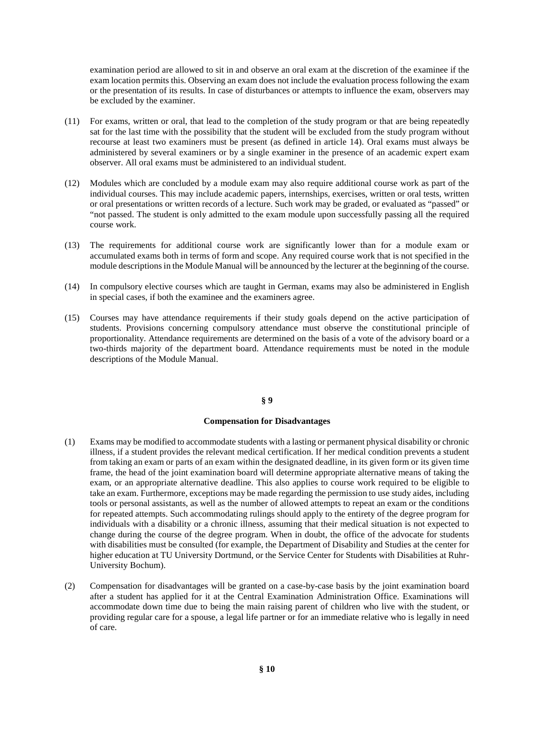examination period are allowed to sit in and observe an oral exam at the discretion of the examinee if the exam location permits this. Observing an exam does not include the evaluation process following the exam or the presentation of its results. In case of disturbances or attempts to influence the exam, observers may be excluded by the examiner.

- (11) For exams, written or oral, that lead to the completion of the study program or that are being repeatedly sat for the last time with the possibility that the student will be excluded from the study program without recourse at least two examiners must be present (as defined in article 14). Oral exams must always be administered by several examiners or by a single examiner in the presence of an academic expert exam observer. All oral exams must be administered to an individual student.
- (12) Modules which are concluded by a module exam may also require additional course work as part of the individual courses. This may include academic papers, internships, exercises, written or oral tests, written or oral presentations or written records of a lecture. Such work may be graded, or evaluated as "passed" or "not passed. The student is only admitted to the exam module upon successfully passing all the required course work.
- (13) The requirements for additional course work are significantly lower than for a module exam or accumulated exams both in terms of form and scope. Any required course work that is not specified in the module descriptions in the Module Manual will be announced by the lecturer at the beginning of the course.
- (14) In compulsory elective courses which are taught in German, exams may also be administered in English in special cases, if both the examinee and the examiners agree.
- (15) Courses may have attendance requirements if their study goals depend on the active participation of students. Provisions concerning compulsory attendance must observe the constitutional principle of proportionality. Attendance requirements are determined on the basis of a vote of the advisory board or a two-thirds majority of the department board. Attendance requirements must be noted in the module descriptions of the Module Manual.

#### **§ 9**

#### **Compensation for Disadvantages**

- (1) Exams may be modified to accommodate students with a lasting or permanent physical disability or chronic illness, if a student provides the relevant medical certification. If her medical condition prevents a student from taking an exam or parts of an exam within the designated deadline, in its given form or its given time frame, the head of the joint examination board will determine appropriate alternative means of taking the exam, or an appropriate alternative deadline. This also applies to course work required to be eligible to take an exam. Furthermore, exceptions may be made regarding the permission to use study aides, including tools or personal assistants, as well as the number of allowed attempts to repeat an exam or the conditions for repeated attempts. Such accommodating rulings should apply to the entirety of the degree program for individuals with a disability or a chronic illness, assuming that their medical situation is not expected to change during the course of the degree program. When in doubt, the office of the advocate for students with disabilities must be consulted (for example, the Department of Disability and Studies at the center for higher education at TU University Dortmund, or the Service Center for Students with Disabilities at Ruhr-University Bochum).
- (2) Compensation for disadvantages will be granted on a case-by-case basis by the joint examination board after a student has applied for it at the Central Examination Administration Office. Examinations will accommodate down time due to being the main raising parent of children who live with the student, or providing regular care for a spouse, a legal life partner or for an immediate relative who is legally in need of care.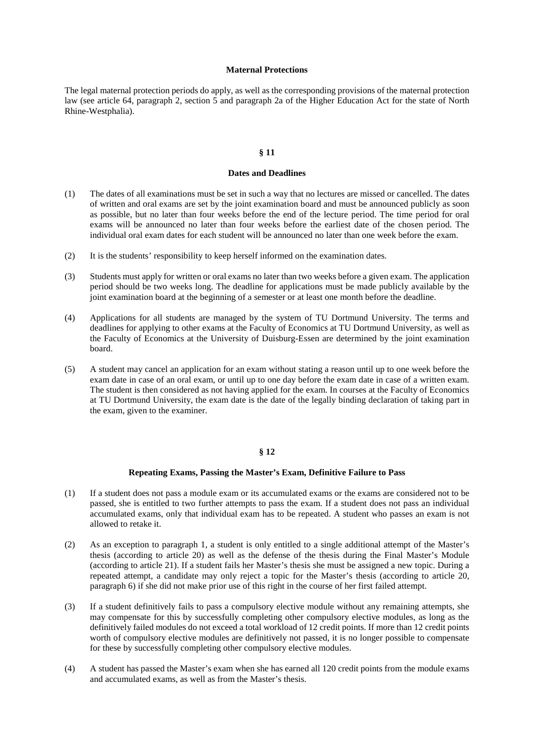#### **Maternal Protections**

The legal maternal protection periods do apply, as well as the corresponding provisions of the maternal protection law (see article 64, paragraph 2, section 5 and paragraph 2a of the Higher Education Act for the state of North Rhine-Westphalia).

### **§ 11**

### **Dates and Deadlines**

- (1) The dates of all examinations must be set in such a way that no lectures are missed or cancelled. The dates of written and oral exams are set by the joint examination board and must be announced publicly as soon as possible, but no later than four weeks before the end of the lecture period. The time period for oral exams will be announced no later than four weeks before the earliest date of the chosen period. The individual oral exam dates for each student will be announced no later than one week before the exam.
- (2) It is the students' responsibility to keep herself informed on the examination dates.
- (3) Students must apply for written or oral exams no later than two weeks before a given exam. The application period should be two weeks long. The deadline for applications must be made publicly available by the joint examination board at the beginning of a semester or at least one month before the deadline.
- (4) Applications for all students are managed by the system of TU Dortmund University. The terms and deadlines for applying to other exams at the Faculty of Economics at TU Dortmund University, as well as the Faculty of Economics at the University of Duisburg-Essen are determined by the joint examination board.
- (5) A student may cancel an application for an exam without stating a reason until up to one week before the exam date in case of an oral exam, or until up to one day before the exam date in case of a written exam. The student is then considered as not having applied for the exam. In courses at the Faculty of Economics at TU Dortmund University, the exam date is the date of the legally binding declaration of taking part in the exam, given to the examiner.

### **§ 12**

#### **Repeating Exams, Passing the Master's Exam, Definitive Failure to Pass**

- (1) If a student does not pass a module exam or its accumulated exams or the exams are considered not to be passed, she is entitled to two further attempts to pass the exam. If a student does not pass an individual accumulated exams, only that individual exam has to be repeated. A student who passes an exam is not allowed to retake it.
- (2) As an exception to paragraph 1, a student is only entitled to a single additional attempt of the Master's thesis (according to article 20) as well as the defense of the thesis during the Final Master's Module (according to article 21). If a student fails her Master's thesis she must be assigned a new topic. During a repeated attempt, a candidate may only reject a topic for the Master's thesis (according to article 20, paragraph 6) if she did not make prior use of this right in the course of her first failed attempt.
- (3) If a student definitively fails to pass a compulsory elective module without any remaining attempts, she may compensate for this by successfully completing other compulsory elective modules, as long as the definitively failed modules do not exceed a total workload of 12 credit points. If more than 12 credit points worth of compulsory elective modules are definitively not passed, it is no longer possible to compensate for these by successfully completing other compulsory elective modules.
- (4) A student has passed the Master's exam when she has earned all 120 credit points from the module exams and accumulated exams, as well as from the Master's thesis.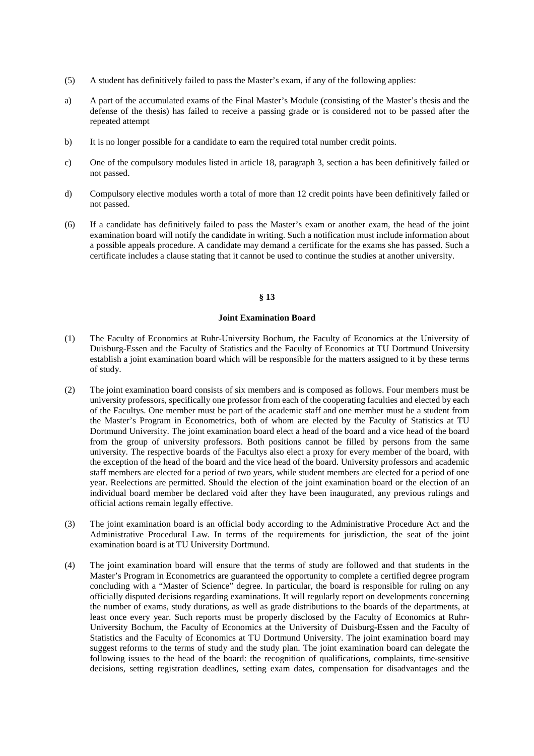- (5) A student has definitively failed to pass the Master's exam, if any of the following applies:
- a) A part of the accumulated exams of the Final Master's Module (consisting of the Master's thesis and the defense of the thesis) has failed to receive a passing grade or is considered not to be passed after the repeated attempt
- b) It is no longer possible for a candidate to earn the required total number credit points.
- c) One of the compulsory modules listed in article 18, paragraph 3, section a has been definitively failed or not passed.
- d) Compulsory elective modules worth a total of more than 12 credit points have been definitively failed or not passed.
- (6) If a candidate has definitively failed to pass the Master's exam or another exam, the head of the joint examination board will notify the candidate in writing. Such a notification must include information about a possible appeals procedure. A candidate may demand a certificate for the exams she has passed. Such a certificate includes a clause stating that it cannot be used to continue the studies at another university.

### **§ 13**

## **Joint Examination Board**

- (1) The Faculty of Economics at Ruhr-University Bochum, the Faculty of Economics at the University of Duisburg-Essen and the Faculty of Statistics and the Faculty of Economics at TU Dortmund University establish a joint examination board which will be responsible for the matters assigned to it by these terms of study.
- (2) The joint examination board consists of six members and is composed as follows. Four members must be university professors, specifically one professor from each of the cooperating faculties and elected by each of the Facultys. One member must be part of the academic staff and one member must be a student from the Master's Program in Econometrics, both of whom are elected by the Faculty of Statistics at TU Dortmund University. The joint examination board elect a head of the board and a vice head of the board from the group of university professors. Both positions cannot be filled by persons from the same university. The respective boards of the Facultys also elect a proxy for every member of the board, with the exception of the head of the board and the vice head of the board. University professors and academic staff members are elected for a period of two years, while student members are elected for a period of one year. Reelections are permitted. Should the election of the joint examination board or the election of an individual board member be declared void after they have been inaugurated, any previous rulings and official actions remain legally effective.
- (3) The joint examination board is an official body according to the Administrative Procedure Act and the Administrative Procedural Law. In terms of the requirements for jurisdiction, the seat of the joint examination board is at TU University Dortmund.
- (4) The joint examination board will ensure that the terms of study are followed and that students in the Master's Program in Econometrics are guaranteed the opportunity to complete a certified degree program concluding with a "Master of Science" degree. In particular, the board is responsible for ruling on any officially disputed decisions regarding examinations. It will regularly report on developments concerning the number of exams, study durations, as well as grade distributions to the boards of the departments, at least once every year. Such reports must be properly disclosed by the Faculty of Economics at Ruhr-University Bochum, the Faculty of Economics at the University of Duisburg-Essen and the Faculty of Statistics and the Faculty of Economics at TU Dortmund University. The joint examination board may suggest reforms to the terms of study and the study plan. The joint examination board can delegate the following issues to the head of the board: the recognition of qualifications, complaints, time-sensitive decisions, setting registration deadlines, setting exam dates, compensation for disadvantages and the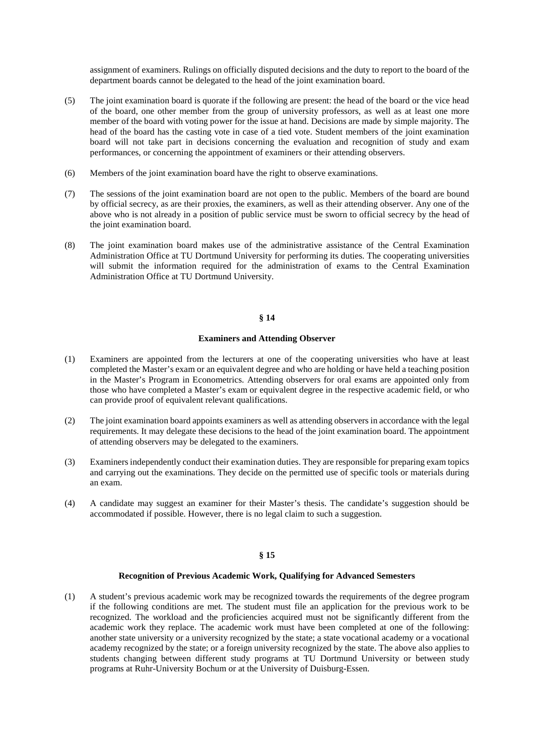assignment of examiners. Rulings on officially disputed decisions and the duty to report to the board of the department boards cannot be delegated to the head of the joint examination board.

- (5) The joint examination board is quorate if the following are present: the head of the board or the vice head of the board, one other member from the group of university professors, as well as at least one more member of the board with voting power for the issue at hand. Decisions are made by simple majority. The head of the board has the casting vote in case of a tied vote. Student members of the joint examination board will not take part in decisions concerning the evaluation and recognition of study and exam performances, or concerning the appointment of examiners or their attending observers.
- (6) Members of the joint examination board have the right to observe examinations.
- (7) The sessions of the joint examination board are not open to the public. Members of the board are bound by official secrecy, as are their proxies, the examiners, as well as their attending observer. Any one of the above who is not already in a position of public service must be sworn to official secrecy by the head of the joint examination board.
- (8) The joint examination board makes use of the administrative assistance of the Central Examination Administration Office at TU Dortmund University for performing its duties. The cooperating universities will submit the information required for the administration of exams to the Central Examination Administration Office at TU Dortmund University.

# **§ 14**

## **Examiners and Attending Observer**

- (1) Examiners are appointed from the lecturers at one of the cooperating universities who have at least completed the Master's exam or an equivalent degree and who are holding or have held a teaching position in the Master's Program in Econometrics. Attending observers for oral exams are appointed only from those who have completed a Master's exam or equivalent degree in the respective academic field, or who can provide proof of equivalent relevant qualifications.
- (2) The joint examination board appoints examiners as well as attending observers in accordance with the legal requirements. It may delegate these decisions to the head of the joint examination board. The appointment of attending observers may be delegated to the examiners.
- (3) Examiners independently conduct their examination duties. They are responsible for preparing exam topics and carrying out the examinations. They decide on the permitted use of specific tools or materials during an exam.
- (4) A candidate may suggest an examiner for their Master's thesis. The candidate's suggestion should be accommodated if possible. However, there is no legal claim to such a suggestion.

## **§ 15**

#### **Recognition of Previous Academic Work, Qualifying for Advanced Semesters**

(1) A student's previous academic work may be recognized towards the requirements of the degree program if the following conditions are met. The student must file an application for the previous work to be recognized. The workload and the proficiencies acquired must not be significantly different from the academic work they replace. The academic work must have been completed at one of the following: another state university or a university recognized by the state; a state vocational academy or a vocational academy recognized by the state; or a foreign university recognized by the state. The above also applies to students changing between different study programs at TU Dortmund University or between study programs at Ruhr-University Bochum or at the University of Duisburg-Essen.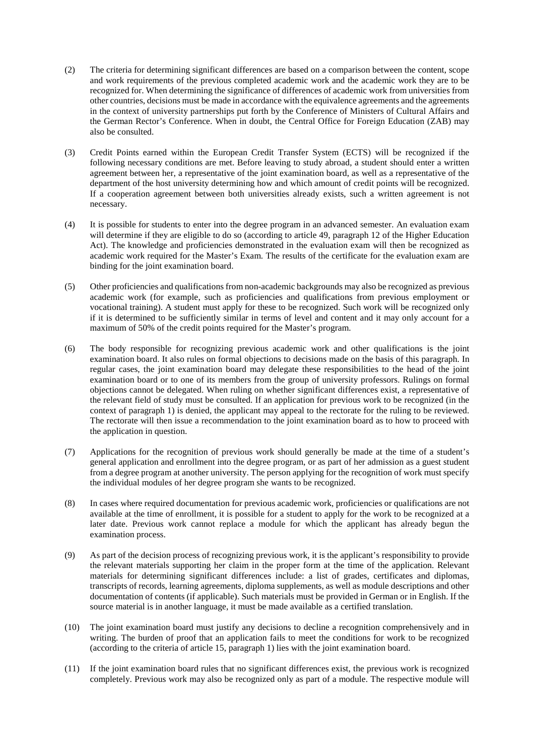- (2) The criteria for determining significant differences are based on a comparison between the content, scope and work requirements of the previous completed academic work and the academic work they are to be recognized for. When determining the significance of differences of academic work from universities from other countries, decisions must be made in accordance with the equivalence agreements and the agreements in the context of university partnerships put forth by the Conference of Ministers of Cultural Affairs and the German Rector's Conference. When in doubt, the Central Office for Foreign Education (ZAB) may also be consulted.
- (3) Credit Points earned within the European Credit Transfer System (ECTS) will be recognized if the following necessary conditions are met. Before leaving to study abroad, a student should enter a written agreement between her, a representative of the joint examination board, as well as a representative of the department of the host university determining how and which amount of credit points will be recognized. If a cooperation agreement between both universities already exists, such a written agreement is not necessary.
- (4) It is possible for students to enter into the degree program in an advanced semester. An evaluation exam will determine if they are eligible to do so (according to article 49, paragraph 12 of the Higher Education Act). The knowledge and proficiencies demonstrated in the evaluation exam will then be recognized as academic work required for the Master's Exam. The results of the certificate for the evaluation exam are binding for the joint examination board.
- (5) Other proficiencies and qualifications from non-academic backgrounds may also be recognized as previous academic work (for example, such as proficiencies and qualifications from previous employment or vocational training). A student must apply for these to be recognized. Such work will be recognized only if it is determined to be sufficiently similar in terms of level and content and it may only account for a maximum of 50% of the credit points required for the Master's program.
- (6) The body responsible for recognizing previous academic work and other qualifications is the joint examination board. It also rules on formal objections to decisions made on the basis of this paragraph. In regular cases, the joint examination board may delegate these responsibilities to the head of the joint examination board or to one of its members from the group of university professors. Rulings on formal objections cannot be delegated. When ruling on whether significant differences exist, a representative of the relevant field of study must be consulted. If an application for previous work to be recognized (in the context of paragraph 1) is denied, the applicant may appeal to the rectorate for the ruling to be reviewed. The rectorate will then issue a recommendation to the joint examination board as to how to proceed with the application in question.
- (7) Applications for the recognition of previous work should generally be made at the time of a student's general application and enrollment into the degree program, or as part of her admission as a guest student from a degree program at another university. The person applying for the recognition of work must specify the individual modules of her degree program she wants to be recognized.
- (8) In cases where required documentation for previous academic work, proficiencies or qualifications are not available at the time of enrollment, it is possible for a student to apply for the work to be recognized at a later date. Previous work cannot replace a module for which the applicant has already begun the examination process.
- (9) As part of the decision process of recognizing previous work, it is the applicant's responsibility to provide the relevant materials supporting her claim in the proper form at the time of the application. Relevant materials for determining significant differences include: a list of grades, certificates and diplomas, transcripts of records, learning agreements, diploma supplements, as well as module descriptions and other documentation of contents (if applicable). Such materials must be provided in German or in English. If the source material is in another language, it must be made available as a certified translation.
- (10) The joint examination board must justify any decisions to decline a recognition comprehensively and in writing. The burden of proof that an application fails to meet the conditions for work to be recognized (according to the criteria of article 15, paragraph 1) lies with the joint examination board.
- (11) If the joint examination board rules that no significant differences exist, the previous work is recognized completely. Previous work may also be recognized only as part of a module. The respective module will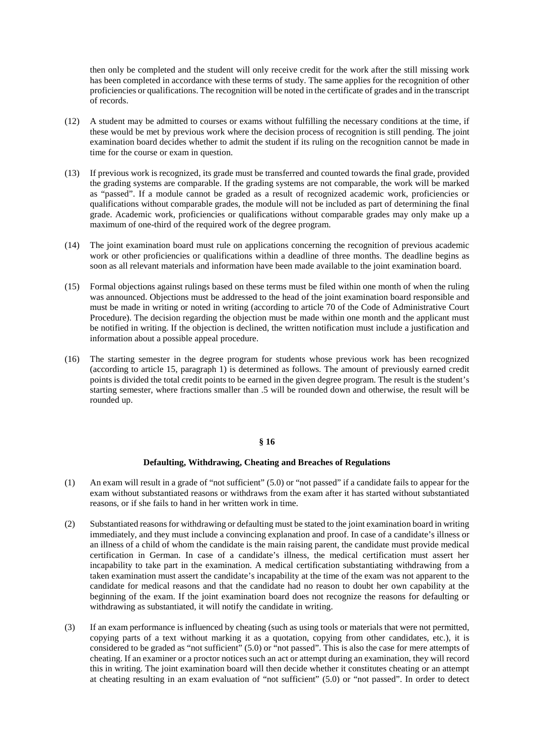then only be completed and the student will only receive credit for the work after the still missing work has been completed in accordance with these terms of study. The same applies for the recognition of other proficiencies or qualifications. The recognition will be noted in the certificate of grades and in the transcript of records.

- (12) A student may be admitted to courses or exams without fulfilling the necessary conditions at the time, if these would be met by previous work where the decision process of recognition is still pending. The joint examination board decides whether to admit the student if its ruling on the recognition cannot be made in time for the course or exam in question.
- (13) If previous work is recognized, its grade must be transferred and counted towards the final grade, provided the grading systems are comparable. If the grading systems are not comparable, the work will be marked as "passed". If a module cannot be graded as a result of recognized academic work, proficiencies or qualifications without comparable grades, the module will not be included as part of determining the final grade. Academic work, proficiencies or qualifications without comparable grades may only make up a maximum of one-third of the required work of the degree program.
- (14) The joint examination board must rule on applications concerning the recognition of previous academic work or other proficiencies or qualifications within a deadline of three months. The deadline begins as soon as all relevant materials and information have been made available to the joint examination board.
- (15) Formal objections against rulings based on these terms must be filed within one month of when the ruling was announced. Objections must be addressed to the head of the joint examination board responsible and must be made in writing or noted in writing (according to article 70 of the Code of Administrative Court Procedure). The decision regarding the objection must be made within one month and the applicant must be notified in writing. If the objection is declined, the written notification must include a justification and information about a possible appeal procedure.
- (16) The starting semester in the degree program for students whose previous work has been recognized (according to article 15, paragraph 1) is determined as follows. The amount of previously earned credit points is divided the total credit points to be earned in the given degree program. The result is the student's starting semester, where fractions smaller than .5 will be rounded down and otherwise, the result will be rounded up.

## **§ 16**

## **Defaulting, Withdrawing, Cheating and Breaches of Regulations**

- (1) An exam will result in a grade of "not sufficient" (5.0) or "not passed" if a candidate fails to appear for the exam without substantiated reasons or withdraws from the exam after it has started without substantiated reasons, or if she fails to hand in her written work in time.
- (2) Substantiated reasons for withdrawing or defaulting must be stated to the joint examination board in writing immediately, and they must include a convincing explanation and proof. In case of a candidate's illness or an illness of a child of whom the candidate is the main raising parent, the candidate must provide medical certification in German. In case of a candidate's illness, the medical certification must assert her incapability to take part in the examination. A medical certification substantiating withdrawing from a taken examination must assert the candidate's incapability at the time of the exam was not apparent to the candidate for medical reasons and that the candidate had no reason to doubt her own capability at the beginning of the exam. If the joint examination board does not recognize the reasons for defaulting or withdrawing as substantiated, it will notify the candidate in writing.
- (3) If an exam performance is influenced by cheating (such as using tools or materials that were not permitted, copying parts of a text without marking it as a quotation, copying from other candidates, etc.), it is considered to be graded as "not sufficient" (5.0) or "not passed". This is also the case for mere attempts of cheating. If an examiner or a proctor notices such an act or attempt during an examination, they will record this in writing. The joint examination board will then decide whether it constitutes cheating or an attempt at cheating resulting in an exam evaluation of "not sufficient" (5.0) or "not passed". In order to detect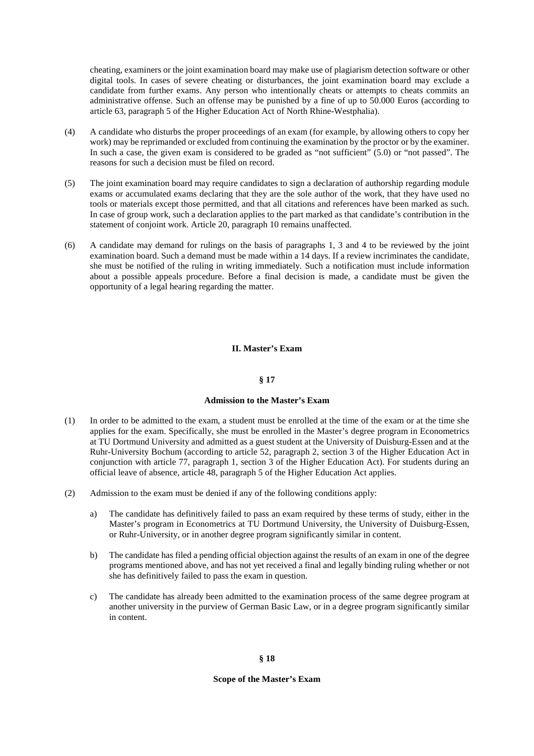cheating, examiners or the joint examination board may make use of plagiarism detection software or other digital tools. In cases of severe cheating or disturbances, the joint examination board may exclude a candidate from further exams. Any person who intentionally cheats or attempts to cheats commits an administrative offense. Such an offense may be punished by a fine of up to 50.000 Euros (according to article 63, paragraph 5 of the Higher Education Act of North Rhine-Westphalia).

- (4) A candidate who disturbs the proper proceedings of an exam (for example, by allowing others to copy her work) may be reprimanded or excluded from continuing the examination by the proctor or by the examiner. In such a case, the given exam is considered to be graded as "not sufficient" (5.0) or "not passed". The reasons for such a decision must be filed on record.
- (5) The joint examination board may require candidates to sign a declaration of authorship regarding module exams or accumulated exams declaring that they are the sole author of the work, that they have used no tools or materials except those permitted, and that all citations and references have been marked as such. In case of group work, such a declaration applies to the part marked as that candidate's contribution in the statement of conjoint work. Article 20, paragraph 10 remains unaffected.
- (6) A candidate may demand for rulings on the basis of paragraphs 1, 3 and 4 to be reviewed by the joint examination board. Such a demand must be made within a 14 days. If a review incriminates the candidate, she must be notified of the ruling in writing immediately. Such a notification must include information about a possible appeals procedure. Before a final decision is made, a candidate must be given the opportunity of a legal hearing regarding the matter.

# **II. Master's Exam**

## **§ 17**

#### **Admission to the Master's Exam**

- (1) In order to be admitted to the exam, a student must be enrolled at the time of the exam or at the time she applies for the exam. Specifically, she must be enrolled in the Master's degree program in Econometrics at TU Dortmund University and admitted as a guest student at the University of Duisburg-Essen and at the Ruhr-University Bochum (according to article 52, paragraph 2, section 3 of the Higher Education Act in conjunction with article 77, paragraph 1, section 3 of the Higher Education Act). For students during an official leave of absence, article 48, paragraph 5 of the Higher Education Act applies.
- (2) Admission to the exam must be denied if any of the following conditions apply:
	- a) The candidate has definitively failed to pass an exam required by these terms of study, either in the Master's program in Econometrics at TU Dortmund University, the University of Duisburg-Essen, or Ruhr-University, or in another degree program significantly similar in content.
	- b) The candidate has filed a pending official objection against the results of an exam in one of the degree programs mentioned above, and has not yet received a final and legally binding ruling whether or not she has definitively failed to pass the exam in question.
	- c) The candidate has already been admitted to the examination process of the same degree program at another university in the purview of German Basic Law, or in a degree program significantly similar in content.

### **Scope of the Master's Exam**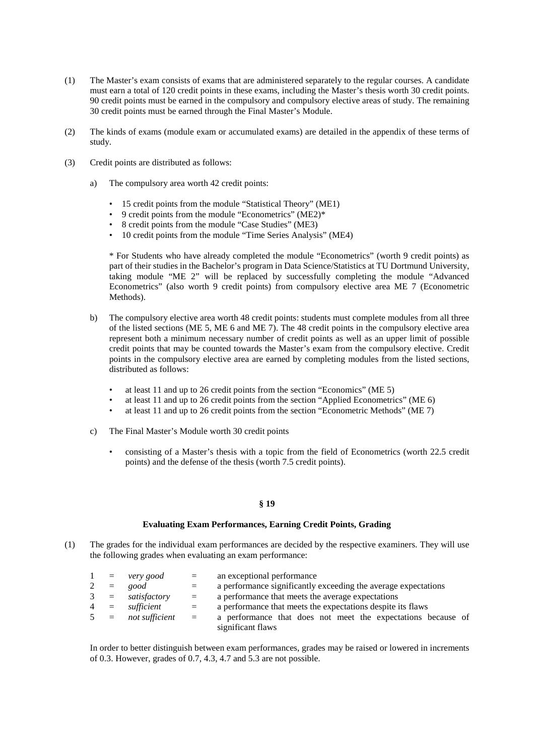- (1) The Master's exam consists of exams that are administered separately to the regular courses. A candidate must earn a total of 120 credit points in these exams, including the Master's thesis worth 30 credit points. 90 credit points must be earned in the compulsory and compulsory elective areas of study. The remaining 30 credit points must be earned through the Final Master's Module.
- (2) The kinds of exams (module exam or accumulated exams) are detailed in the appendix of these terms of study.
- (3) Credit points are distributed as follows:
	- a) The compulsory area worth 42 credit points:
		- 15 credit points from the module "Statistical Theory" (ME1)
		- 9 credit points from the module "Econometrics" (ME2)\*
		- 8 credit points from the module "Case Studies" (ME3)
		- 10 credit points from the module "Time Series Analysis" (ME4)

\* For Students who have already completed the module "Econometrics" (worth 9 credit points) as part of their studies in the Bachelor's program in Data Science/Statistics at TU Dortmund University, taking module "ME 2" will be replaced by successfully completing the module "Advanced Econometrics" (also worth 9 credit points) from compulsory elective area ME 7 (Econometric Methods).

- b) The compulsory elective area worth 48 credit points: students must complete modules from all three of the listed sections (ME 5, ME 6 and ME 7). The 48 credit points in the compulsory elective area represent both a minimum necessary number of credit points as well as an upper limit of possible credit points that may be counted towards the Master's exam from the compulsory elective. Credit points in the compulsory elective area are earned by completing modules from the listed sections, distributed as follows:
	- at least 11 and up to 26 credit points from the section "Economics" (ME 5)
	- at least 11 and up to 26 credit points from the section "Applied Econometrics" (ME 6)
	- at least 11 and up to 26 credit points from the section "Econometric Methods" (ME 7)
- c) The Final Master's Module worth 30 credit points
	- consisting of a Master's thesis with a topic from the field of Econometrics (worth 22.5 credit points) and the defense of the thesis (worth 7.5 credit points).

### **§ 19**

### **Evaluating Exam Performances, Earning Credit Points, Grading**

(1) The grades for the individual exam performances are decided by the respective examiners. They will use the following grades when evaluating an exam performance:

|       | $1 = \text{very good}$ | $\equiv$ | an exceptional performance                                     |
|-------|------------------------|----------|----------------------------------------------------------------|
| $2 =$ | good                   | $=$      | a performance significantly exceeding the average expectations |
|       | $3 = satisfactory$     | $=$      | a performance that meets the average expectations              |
|       | $4 = sufficient$       | $=$      | a performance that meets the expectations despite its flaws    |
|       | $5 = not sufficient$   | $\equiv$ | a performance that does not meet the expectations because of   |
|       |                        |          | significant flaws                                              |

In order to better distinguish between exam performances, grades may be raised or lowered in increments of 0.3. However, grades of 0.7, 4.3, 4.7 and 5.3 are not possible.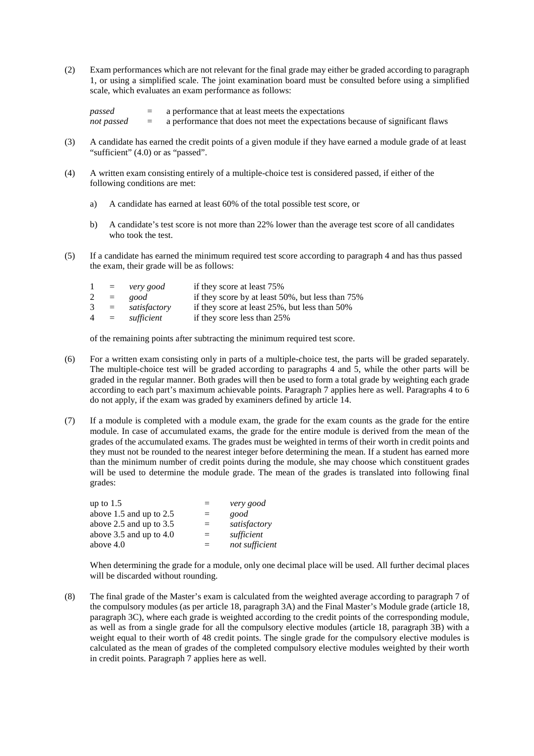(2) Exam performances which are not relevant for the final grade may either be graded according to paragraph 1, or using a simplified scale. The joint examination board must be consulted before using a simplified scale, which evaluates an exam performance as follows:

| passed     |          | a performance that at least meets the expectations                             |
|------------|----------|--------------------------------------------------------------------------------|
| not passed | $\equiv$ | a performance that does not meet the expectations because of significant flaws |

- (3) A candidate has earned the credit points of a given module if they have earned a module grade of at least "sufficient" (4.0) or as "passed".
- (4) A written exam consisting entirely of a multiple-choice test is considered passed, if either of the following conditions are met:
	- a) A candidate has earned at least 60% of the total possible test score, or
	- b) A candidate's test score is not more than 22% lower than the average test score of all candidates who took the test.
- (5) If a candidate has earned the minimum required test score according to paragraph 4 and has thus passed the exam, their grade will be as follows:

| 1 |       | $=$ very good    | if they score at least 75%                       |
|---|-------|------------------|--------------------------------------------------|
|   | $2 =$ | good             | if they score by at least 50%, but less than 75% |
| 3 |       | $=$ satisfactory | if they score at least 25%, but less than 50%    |
|   | $4 =$ | sufficient       | if they score less than 25%                      |

of the remaining points after subtracting the minimum required test score.

- (6) For a written exam consisting only in parts of a multiple-choice test, the parts will be graded separately. The multiple-choice test will be graded according to paragraphs 4 and 5, while the other parts will be graded in the regular manner. Both grades will then be used to form a total grade by weighting each grade according to each part's maximum achievable points. Paragraph 7 applies here as well. Paragraphs 4 to 6 do not apply, if the exam was graded by examiners defined by article 14.
- (7) If a module is completed with a module exam, the grade for the exam counts as the grade for the entire module. In case of accumulated exams, the grade for the entire module is derived from the mean of the grades of the accumulated exams. The grades must be weighted in terms of their worth in credit points and they must not be rounded to the nearest integer before determining the mean. If a student has earned more than the minimum number of credit points during the module, she may choose which constituent grades will be used to determine the module grade. The mean of the grades is translated into following final grades:

| up to 1.5                   | ゠        | very good      |
|-----------------------------|----------|----------------|
| above $1.5$ and up to $2.5$ | $=$      | good           |
| above 2.5 and up to $3.5$   | $=$      | satisfactory   |
| above $3.5$ and up to $4.0$ | $\equiv$ | sufficient     |
| above 4.0                   | $\equiv$ | not sufficient |
|                             |          |                |

When determining the grade for a module, only one decimal place will be used. All further decimal places will be discarded without rounding.

(8) The final grade of the Master's exam is calculated from the weighted average according to paragraph 7 of the compulsory modules (as per article 18, paragraph 3A) and the Final Master's Module grade (article 18, paragraph 3C), where each grade is weighted according to the credit points of the corresponding module, as well as from a single grade for all the compulsory elective modules (article 18, paragraph 3B) with a weight equal to their worth of 48 credit points. The single grade for the compulsory elective modules is calculated as the mean of grades of the completed compulsory elective modules weighted by their worth in credit points. Paragraph 7 applies here as well.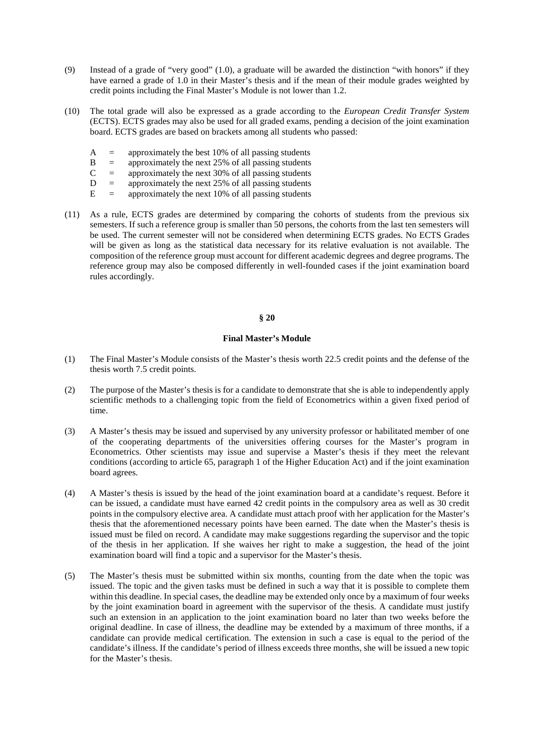- (9) Instead of a grade of "very good" (1.0), a graduate will be awarded the distinction "with honors" if they have earned a grade of 1.0 in their Master's thesis and if the mean of their module grades weighted by credit points including the Final Master's Module is not lower than 1.2.
- (10) The total grade will also be expressed as a grade according to the *European Credit Transfer System* (ECTS). ECTS grades may also be used for all graded exams, pending a decision of the joint examination board. ECTS grades are based on brackets among all students who passed:
	- $A =$  approximately the best 10% of all passing students
	- $B =$  approximately the next 25% of all passing students
	- $C =$  approximately the next 30% of all passing students
	- $D =$  approximately the next 25% of all passing students
	- $E =$  approximately the next 10% of all passing students
- (11) As a rule, ECTS grades are determined by comparing the cohorts of students from the previous six semesters. If such a reference group is smaller than 50 persons, the cohorts from the last ten semesters will be used. The current semester will not be considered when determining ECTS grades. No ECTS Grades will be given as long as the statistical data necessary for its relative evaluation is not available. The composition of the reference group must account for different academic degrees and degree programs. The reference group may also be composed differently in well-founded cases if the joint examination board rules accordingly.

## **§ 20**

## **Final Master's Module**

- (1) The Final Master's Module consists of the Master's thesis worth 22.5 credit points and the defense of the thesis worth 7.5 credit points.
- (2) The purpose of the Master's thesis is for a candidate to demonstrate that she is able to independently apply scientific methods to a challenging topic from the field of Econometrics within a given fixed period of time.
- (3) A Master's thesis may be issued and supervised by any university professor or habilitated member of one of the cooperating departments of the universities offering courses for the Master's program in Econometrics. Other scientists may issue and supervise a Master's thesis if they meet the relevant conditions (according to article 65, paragraph 1 of the Higher Education Act) and if the joint examination board agrees.
- (4) A Master's thesis is issued by the head of the joint examination board at a candidate's request. Before it can be issued, a candidate must have earned 42 credit points in the compulsory area as well as 30 credit points in the compulsory elective area. A candidate must attach proof with her application for the Master's thesis that the aforementioned necessary points have been earned. The date when the Master's thesis is issued must be filed on record. A candidate may make suggestions regarding the supervisor and the topic of the thesis in her application. If she waives her right to make a suggestion, the head of the joint examination board will find a topic and a supervisor for the Master's thesis.
- (5) The Master's thesis must be submitted within six months, counting from the date when the topic was issued. The topic and the given tasks must be defined in such a way that it is possible to complete them within this deadline. In special cases, the deadline may be extended only once by a maximum of four weeks by the joint examination board in agreement with the supervisor of the thesis. A candidate must justify such an extension in an application to the joint examination board no later than two weeks before the original deadline. In case of illness, the deadline may be extended by a maximum of three months, if a candidate can provide medical certification. The extension in such a case is equal to the period of the candidate's illness. If the candidate's period of illness exceeds three months, she will be issued a new topic for the Master's thesis.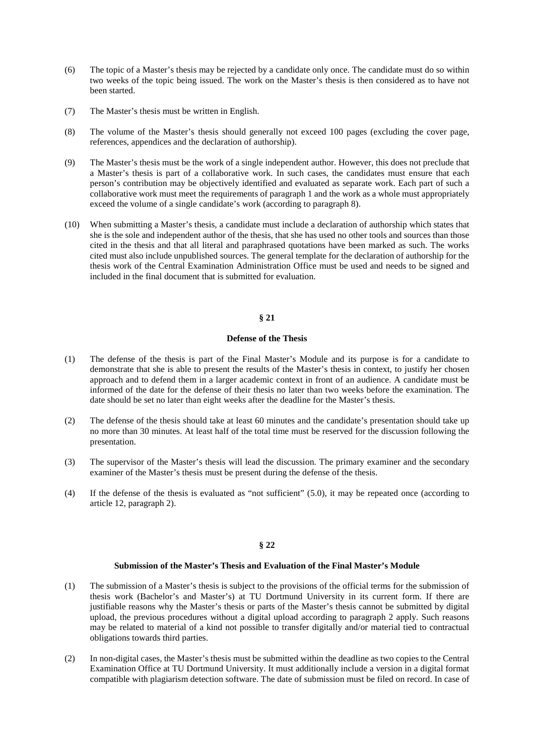- (6) The topic of a Master's thesis may be rejected by a candidate only once. The candidate must do so within two weeks of the topic being issued. The work on the Master's thesis is then considered as to have not been started.
- (7) The Master's thesis must be written in English.
- (8) The volume of the Master's thesis should generally not exceed 100 pages (excluding the cover page, references, appendices and the declaration of authorship).
- (9) The Master's thesis must be the work of a single independent author. However, this does not preclude that a Master's thesis is part of a collaborative work. In such cases, the candidates must ensure that each person's contribution may be objectively identified and evaluated as separate work. Each part of such a collaborative work must meet the requirements of paragraph 1 and the work as a whole must appropriately exceed the volume of a single candidate's work (according to paragraph 8).
- (10) When submitting a Master's thesis, a candidate must include a declaration of authorship which states that she is the sole and independent author of the thesis, that she has used no other tools and sources than those cited in the thesis and that all literal and paraphrased quotations have been marked as such. The works cited must also include unpublished sources. The general template for the declaration of authorship for the thesis work of the Central Examination Administration Office must be used and needs to be signed and included in the final document that is submitted for evaluation.

# **§ 21**

# **Defense of the Thesis**

- (1) The defense of the thesis is part of the Final Master's Module and its purpose is for a candidate to demonstrate that she is able to present the results of the Master's thesis in context, to justify her chosen approach and to defend them in a larger academic context in front of an audience. A candidate must be informed of the date for the defense of their thesis no later than two weeks before the examination. The date should be set no later than eight weeks after the deadline for the Master's thesis.
- (2) The defense of the thesis should take at least 60 minutes and the candidate's presentation should take up no more than 30 minutes. At least half of the total time must be reserved for the discussion following the presentation.
- (3) The supervisor of the Master's thesis will lead the discussion. The primary examiner and the secondary examiner of the Master's thesis must be present during the defense of the thesis.
- (4) If the defense of the thesis is evaluated as "not sufficient" (5.0), it may be repeated once (according to article 12, paragraph 2).

# **§ 22**

### **Submission of the Master's Thesis and Evaluation of the Final Master's Module**

- (1) The submission of a Master's thesis is subject to the provisions of the official terms for the submission of thesis work (Bachelor's and Master's) at TU Dortmund University in its current form. If there are justifiable reasons why the Master's thesis or parts of the Master's thesis cannot be submitted by digital upload, the previous procedures without a digital upload according to paragraph 2 apply. Such reasons may be related to material of a kind not possible to transfer digitally and/or material tied to contractual obligations towards third parties.
- (2) In non-digital cases, the Master's thesis must be submitted within the deadline as two copies to the Central Examination Office at TU Dortmund University. It must additionally include a version in a digital format compatible with plagiarism detection software. The date of submission must be filed on record. In case of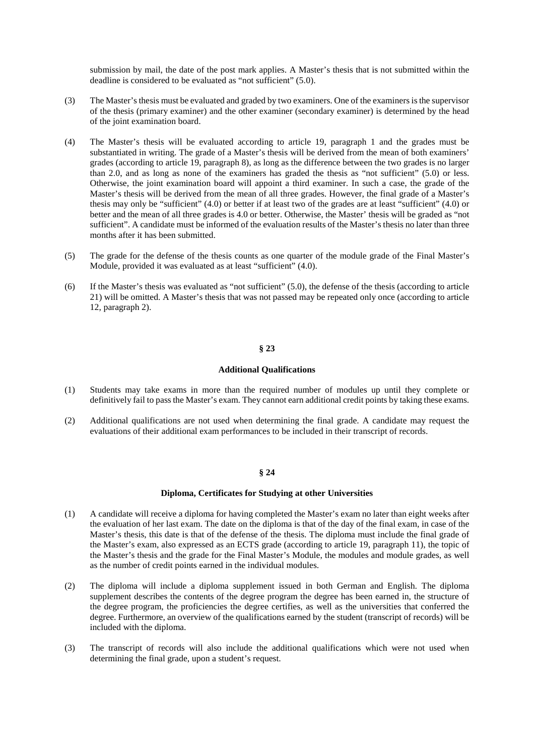submission by mail, the date of the post mark applies. A Master's thesis that is not submitted within the deadline is considered to be evaluated as "not sufficient" (5.0).

- (3) The Master's thesis must be evaluated and graded by two examiners. One of the examiners is the supervisor of the thesis (primary examiner) and the other examiner (secondary examiner) is determined by the head of the joint examination board.
- (4) The Master's thesis will be evaluated according to article 19, paragraph 1 and the grades must be substantiated in writing. The grade of a Master's thesis will be derived from the mean of both examiners' grades (according to article 19, paragraph 8), as long as the difference between the two grades is no larger than 2.0, and as long as none of the examiners has graded the thesis as "not sufficient" (5.0) or less. Otherwise, the joint examination board will appoint a third examiner. In such a case, the grade of the Master's thesis will be derived from the mean of all three grades. However, the final grade of a Master's thesis may only be "sufficient" (4.0) or better if at least two of the grades are at least "sufficient" (4.0) or better and the mean of all three grades is 4.0 or better. Otherwise, the Master' thesis will be graded as "not sufficient". A candidate must be informed of the evaluation results of the Master's thesis no later than three months after it has been submitted.
- (5) The grade for the defense of the thesis counts as one quarter of the module grade of the Final Master's Module, provided it was evaluated as at least "sufficient" (4.0).
- (6) If the Master's thesis was evaluated as "not sufficient" (5.0), the defense of the thesis (according to article 21) will be omitted. A Master's thesis that was not passed may be repeated only once (according to article 12, paragraph 2).

# **§ 23**

## **Additional Qualifications**

- (1) Students may take exams in more than the required number of modules up until they complete or definitively fail to pass the Master's exam. They cannot earn additional credit points by taking these exams.
- (2) Additional qualifications are not used when determining the final grade. A candidate may request the evaluations of their additional exam performances to be included in their transcript of records.

#### **§ 24**

#### **Diploma, Certificates for Studying at other Universities**

- (1) A candidate will receive a diploma for having completed the Master's exam no later than eight weeks after the evaluation of her last exam. The date on the diploma is that of the day of the final exam, in case of the Master's thesis, this date is that of the defense of the thesis. The diploma must include the final grade of the Master's exam, also expressed as an ECTS grade (according to article 19, paragraph 11), the topic of the Master's thesis and the grade for the Final Master's Module, the modules and module grades, as well as the number of credit points earned in the individual modules.
- (2) The diploma will include a diploma supplement issued in both German and English. The diploma supplement describes the contents of the degree program the degree has been earned in, the structure of the degree program, the proficiencies the degree certifies, as well as the universities that conferred the degree. Furthermore, an overview of the qualifications earned by the student (transcript of records) will be included with the diploma.
- (3) The transcript of records will also include the additional qualifications which were not used when determining the final grade, upon a student's request.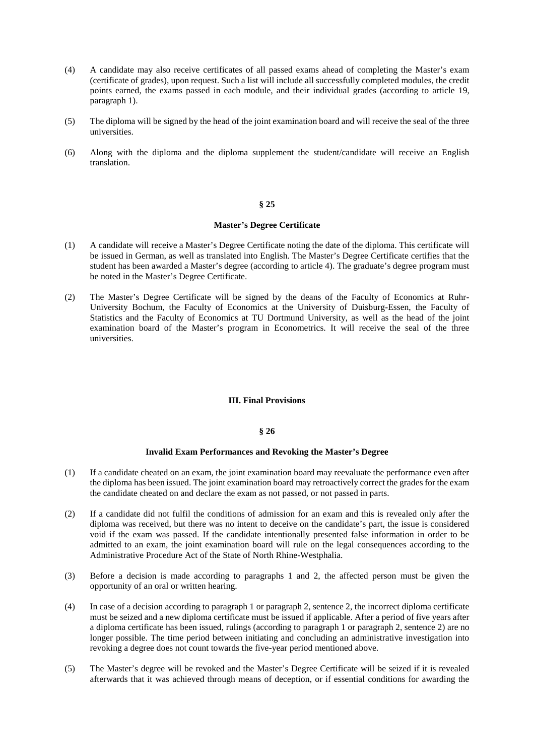- (4) A candidate may also receive certificates of all passed exams ahead of completing the Master's exam (certificate of grades), upon request. Such a list will include all successfully completed modules, the credit points earned, the exams passed in each module, and their individual grades (according to article 19, paragraph 1).
- (5) The diploma will be signed by the head of the joint examination board and will receive the seal of the three universities.
- (6) Along with the diploma and the diploma supplement the student/candidate will receive an English translation.

### **§ 25**

## **Master's Degree Certificate**

- (1) A candidate will receive a Master's Degree Certificate noting the date of the diploma. This certificate will be issued in German, as well as translated into English. The Master's Degree Certificate certifies that the student has been awarded a Master's degree (according to article 4). The graduate's degree program must be noted in the Master's Degree Certificate.
- (2) The Master's Degree Certificate will be signed by the deans of the Faculty of Economics at Ruhr-University Bochum, the Faculty of Economics at the University of Duisburg-Essen, the Faculty of Statistics and the Faculty of Economics at TU Dortmund University, as well as the head of the joint examination board of the Master's program in Econometrics. It will receive the seal of the three universities.

### **III. Final Provisions**

## **§ 26**

### **Invalid Exam Performances and Revoking the Master's Degree**

- (1) If a candidate cheated on an exam, the joint examination board may reevaluate the performance even after the diploma has been issued. The joint examination board may retroactively correct the grades for the exam the candidate cheated on and declare the exam as not passed, or not passed in parts.
- (2) If a candidate did not fulfil the conditions of admission for an exam and this is revealed only after the diploma was received, but there was no intent to deceive on the candidate's part, the issue is considered void if the exam was passed. If the candidate intentionally presented false information in order to be admitted to an exam, the joint examination board will rule on the legal consequences according to the Administrative Procedure Act of the State of North Rhine-Westphalia.
- (3) Before a decision is made according to paragraphs 1 and 2, the affected person must be given the opportunity of an oral or written hearing.
- (4) In case of a decision according to paragraph 1 or paragraph 2, sentence 2, the incorrect diploma certificate must be seized and a new diploma certificate must be issued if applicable. After a period of five years after a diploma certificate has been issued, rulings (according to paragraph 1 or paragraph 2, sentence 2) are no longer possible. The time period between initiating and concluding an administrative investigation into revoking a degree does not count towards the five-year period mentioned above.
- (5) The Master's degree will be revoked and the Master's Degree Certificate will be seized if it is revealed afterwards that it was achieved through means of deception, or if essential conditions for awarding the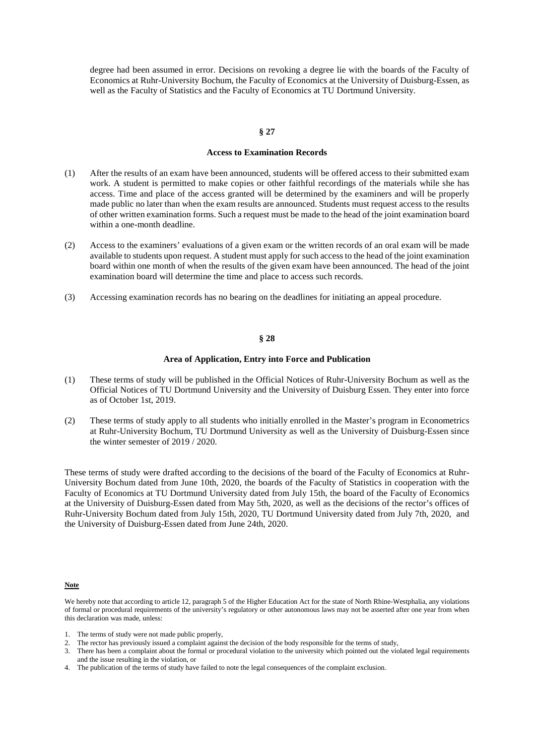degree had been assumed in error. Decisions on revoking a degree lie with the boards of the Faculty of Economics at Ruhr-University Bochum, the Faculty of Economics at the University of Duisburg-Essen, as well as the Faculty of Statistics and the Faculty of Economics at TU Dortmund University.

#### **§ 27**

### **Access to Examination Records**

- (1) After the results of an exam have been announced, students will be offered access to their submitted exam work. A student is permitted to make copies or other faithful recordings of the materials while she has access. Time and place of the access granted will be determined by the examiners and will be properly made public no later than when the exam results are announced. Students must request access to the results of other written examination forms. Such a request must be made to the head of the joint examination board within a one-month deadline.
- (2) Access to the examiners' evaluations of a given exam or the written records of an oral exam will be made available to students upon request. A student must apply for such access to the head of the joint examination board within one month of when the results of the given exam have been announced. The head of the joint examination board will determine the time and place to access such records.
- (3) Accessing examination records has no bearing on the deadlines for initiating an appeal procedure.

# **§ 28**

#### **Area of Application, Entry into Force and Publication**

- (1) These terms of study will be published in the Official Notices of Ruhr-University Bochum as well as the Official Notices of TU Dortmund University and the University of Duisburg Essen. They enter into force as of October 1st, 2019.
- (2) These terms of study apply to all students who initially enrolled in the Master's program in Econometrics at Ruhr-University Bochum, TU Dortmund University as well as the University of Duisburg-Essen since the winter semester of 2019 / 2020.

These terms of study were drafted according to the decisions of the board of the Faculty of Economics at Ruhr-University Bochum dated from June 10th, 2020, the boards of the Faculty of Statistics in cooperation with the Faculty of Economics at TU Dortmund University dated from July 15th, the board of the Faculty of Economics at the University of Duisburg-Essen dated from May 5th, 2020, as well as the decisions of the rector's offices of Ruhr-University Bochum dated from July 15th, 2020, TU Dortmund University dated from July 7th, 2020, and the University of Duisburg-Essen dated from June 24th, 2020.

#### **Note**

4. The publication of the terms of study have failed to note the legal consequences of the complaint exclusion.

We hereby note that according to article 12, paragraph 5 of the Higher Education Act for the state of North Rhine-Westphalia, any violations of formal or procedural requirements of the university's regulatory or other autonomous laws may not be asserted after one year from when this declaration was made, unless:

<sup>1.</sup> The terms of study were not made public properly,

<sup>2.</sup> The rector has previously issued a complaint against the decision of the body responsible for the terms of study,

<sup>3.</sup> There has been a complaint about the formal or procedural violation to the university which pointed out the violated legal requirements and the issue resulting in the violation, or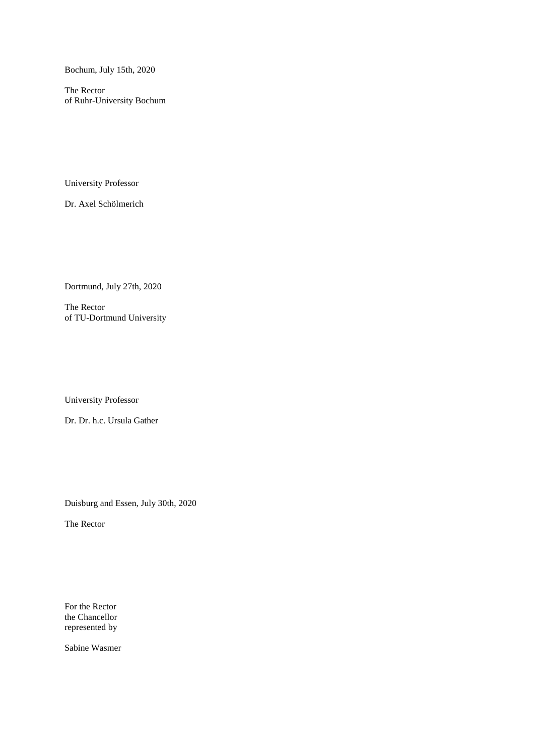Bochum, July 15th, 2020

The Rector of Ruhr-University Bochum

University Professor

Dr. Axel Schölmerich

Dortmund, July 27th, 2020

The Rector of TU-Dortmund University

University Professor

Dr. Dr. h.c. Ursula Gather

Duisburg and Essen, July 30th, 2020

The Rector

For the Rector the Chancellor represented by

Sabine Wasmer